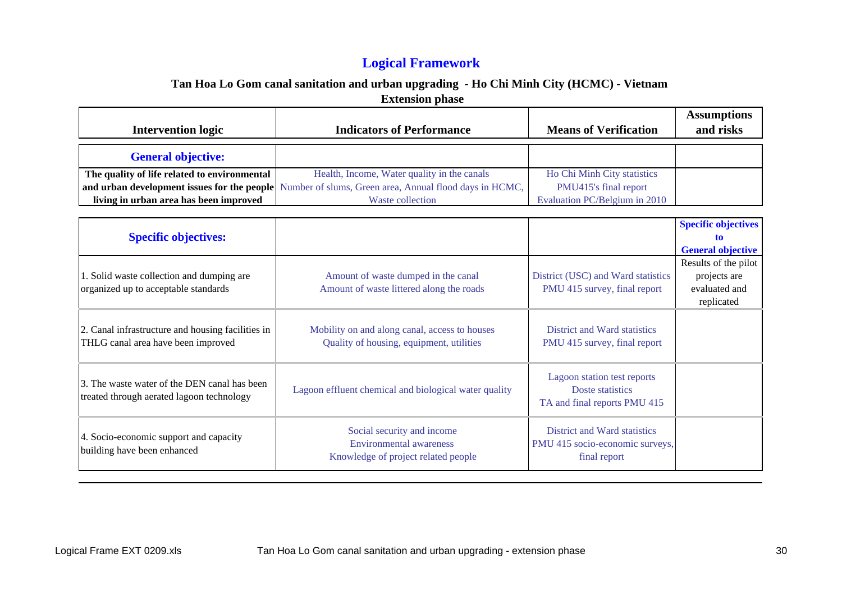# **Logical Framework**

| <b>Intervention logic</b>                                                                                                             | <b>Indicators of Performance</b>                                                                                           | <b>Means of Verification</b>                                                           | <b>Assumptions</b><br>and risks                                     |
|---------------------------------------------------------------------------------------------------------------------------------------|----------------------------------------------------------------------------------------------------------------------------|----------------------------------------------------------------------------------------|---------------------------------------------------------------------|
| <b>General objective:</b>                                                                                                             |                                                                                                                            |                                                                                        |                                                                     |
| The quality of life related to environmental<br>and urban development issues for the people<br>living in urban area has been improved | Health, Income, Water quality in the canals<br>Number of slums, Green area, Annual flood days in HCMC,<br>Waste collection | Ho Chi Minh City statistics<br>PMU415's final report<br>Evaluation PC/Belgium in 2010  |                                                                     |
| <b>Specific objectives:</b>                                                                                                           |                                                                                                                            |                                                                                        | <b>Specific objectives</b><br>tn<br><b>General objective</b>        |
| 1. Solid waste collection and dumping are<br>organized up to acceptable standards                                                     | Amount of waste dumped in the canal<br>Amount of waste littered along the roads                                            | District (USC) and Ward statistics<br>PMU 415 survey, final report                     | Results of the pilot<br>projects are<br>evaluated and<br>replicated |
| 2. Canal infrastructure and housing facilities in<br>THLG canal area have been improved                                               | Mobility on and along canal, access to houses<br>Quality of housing, equipment, utilities                                  | District and Ward statistics<br>PMU 415 survey, final report                           |                                                                     |
| 3. The waste water of the DEN canal has been<br>treated through aerated lagoon technology                                             | Lagoon effluent chemical and biological water quality                                                                      | Lagoon station test reports<br>Doste statistics<br>TA and final reports PMU 415        |                                                                     |
| 4. Socio-economic support and capacity<br>building have been enhanced                                                                 | Social security and income<br><b>Environmental awareness</b><br>Knowledge of project related people                        | <b>District and Ward statistics</b><br>PMU 415 socio-economic surveys,<br>final report |                                                                     |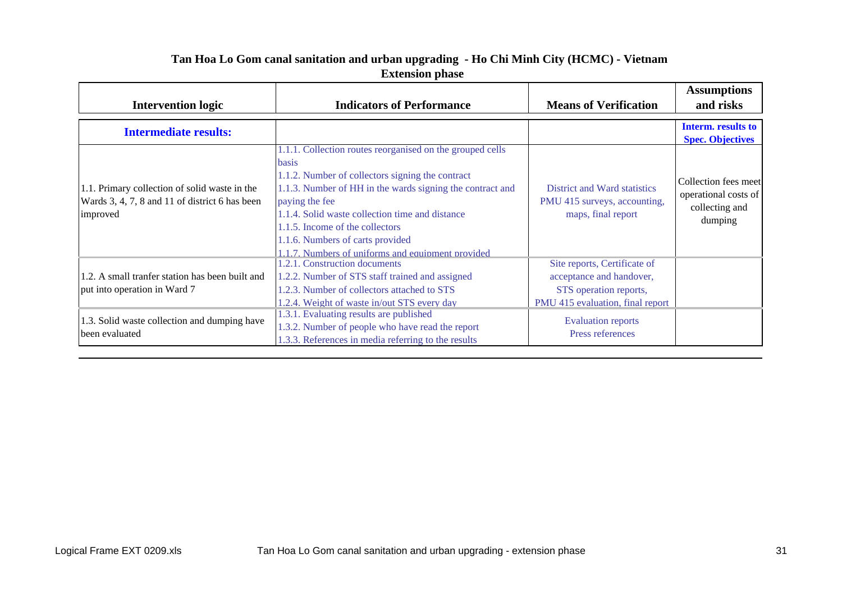| <b>Intervention logic</b>                                                                                   | <b>Indicators of Performance</b>                                                                                                                                                                                                                                                                                                                                                     | <b>Means of Verification</b>                                                                                                      | <b>Assumptions</b><br>and risks                                           |
|-------------------------------------------------------------------------------------------------------------|--------------------------------------------------------------------------------------------------------------------------------------------------------------------------------------------------------------------------------------------------------------------------------------------------------------------------------------------------------------------------------------|-----------------------------------------------------------------------------------------------------------------------------------|---------------------------------------------------------------------------|
| <b>Intermediate results:</b>                                                                                |                                                                                                                                                                                                                                                                                                                                                                                      |                                                                                                                                   | Interm. results to<br><b>Spec. Objectives</b>                             |
| 1.1. Primary collection of solid waste in the<br>Wards 3, 4, 7, 8 and 11 of district 6 has been<br>improved | 1.1.1. Collection routes reorganised on the grouped cells<br>basis<br>1.1.2. Number of collectors signing the contract<br>1.1.3. Number of HH in the wards signing the contract and<br>paying the fee<br>1.1.4. Solid waste collection time and distance<br>1.1.5. Income of the collectors<br>1.1.6. Numbers of carts provided<br>1.1.7. Numbers of uniforms and equipment provided | District and Ward statistics<br>PMU 415 surveys, accounting,<br>maps, final report                                                | Collection fees meet<br>operational costs of<br>collecting and<br>dumping |
| 1.2. A small tranfer station has been built and<br>put into operation in Ward 7                             | 1.2.1. Construction documents<br>1.2.2. Number of STS staff trained and assigned<br>1.2.3. Number of collectors attached to STS<br>1.2.4. Weight of waste in/out STS every day                                                                                                                                                                                                       | Site reports, Certificate of<br>acceptance and handover,<br>STS operation reports,<br>PMU <sub>415</sub> evaluation, final report |                                                                           |
| 1.3. Solid waste collection and dumping have<br>been evaluated                                              | 1.3.1. Evaluating results are published<br>1.3.2. Number of people who have read the report<br>1.3.3. References in media referring to the results                                                                                                                                                                                                                                   | <b>Evaluation reports</b><br>Press references                                                                                     |                                                                           |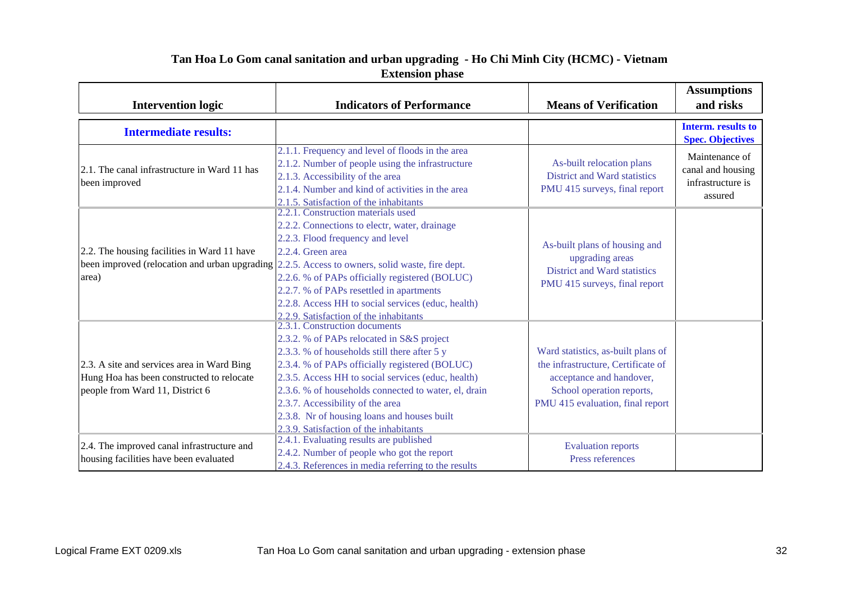| <b>Intervention logic</b>                                                                                                                                       | <b>Indicators of Performance</b>                                                                                                                                                                                                                                                                                                                                                                                                                                   | <b>Means of Verification</b>                                                                                                                                          | <b>Assumptions</b><br>and risks                                     |
|-----------------------------------------------------------------------------------------------------------------------------------------------------------------|--------------------------------------------------------------------------------------------------------------------------------------------------------------------------------------------------------------------------------------------------------------------------------------------------------------------------------------------------------------------------------------------------------------------------------------------------------------------|-----------------------------------------------------------------------------------------------------------------------------------------------------------------------|---------------------------------------------------------------------|
| <b>Intermediate results:</b>                                                                                                                                    |                                                                                                                                                                                                                                                                                                                                                                                                                                                                    |                                                                                                                                                                       | Interm. results to<br><b>Spec. Objectives</b>                       |
| 2.1. The canal infrastructure in Ward 11 has<br>been improved                                                                                                   | 2.1.1. Frequency and level of floods in the area<br>2.1.2. Number of people using the infrastructure<br>2.1.3. Accessibility of the area<br>2.1.4. Number and kind of activities in the area<br>2.1.5. Satisfaction of the inhabitants                                                                                                                                                                                                                             | As-built relocation plans<br>District and Ward statistics<br>PMU 415 surveys, final report                                                                            | Maintenance of<br>canal and housing<br>infrastructure is<br>assured |
| 2.2. The housing facilities in Ward 11 have<br>been improved (relocation and urban upgrading $\vert 2.2.5$ . Access to owners, solid waste, fire dept.<br>area) | 2.2.1. Construction materials used<br>2.2.2. Connections to electr, water, drainage<br>2.2.3. Flood frequency and level<br>$2.2.4$ . Green area<br>2.2.6. % of PAPs officially registered (BOLUC)<br>2.2.7. % of PAPs resettled in apartments<br>2.2.8. Access HH to social services (educ, health)<br>2.2.9. Satisfaction of the inhabitants                                                                                                                      | As-built plans of housing and<br>upgrading areas<br><b>District and Ward statistics</b><br>PMU 415 surveys, final report                                              |                                                                     |
| 2.3. A site and services area in Ward Bing<br>Hung Hoa has been constructed to relocate<br>people from Ward 11, District 6                                      | 2.3.1. Construction documents<br>2.3.2. % of PAPs relocated in S&S project<br>2.3.3. % of households still there after 5 y<br>2.3.4. % of PAPs officially registered (BOLUC)<br>2.3.5. Access HH to social services (educ, health)<br>2.3.6. % of households connected to water, el, drain<br>2.3.7. Accessibility of the area<br>2.3.8. Nr of housing loans and houses built<br>2.3.9. Satisfaction of the inhabitants<br>2.4.1. Evaluating results are published | Ward statistics, as-built plans of<br>the infrastructure, Certificate of<br>acceptance and handover,<br>School operation reports,<br>PMU 415 evaluation, final report |                                                                     |
| 2.4. The improved canal infrastructure and<br>housing facilities have been evaluated                                                                            | 2.4.2. Number of people who got the report<br>2.4.3. References in media referring to the results                                                                                                                                                                                                                                                                                                                                                                  | <b>Evaluation reports</b><br>Press references                                                                                                                         |                                                                     |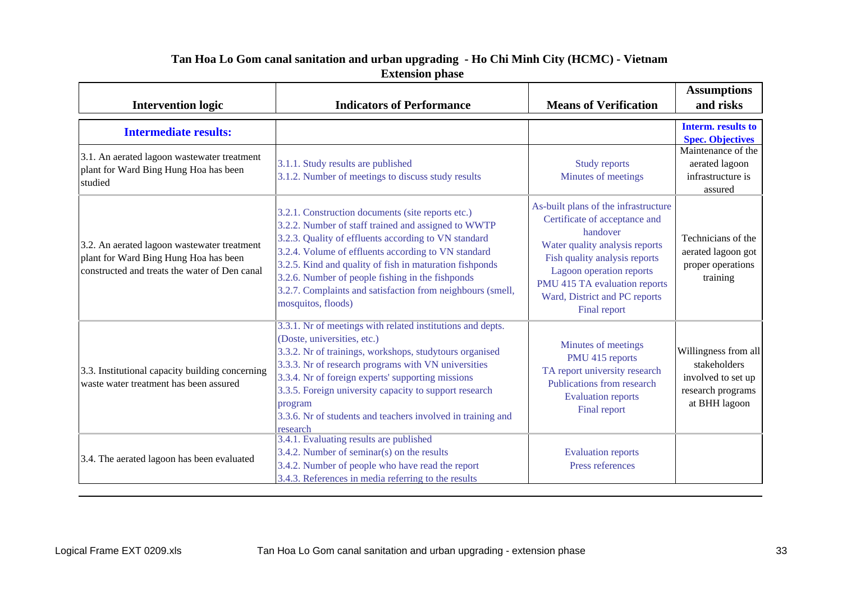|                                                                                                                                       |                                                                                                                                                                                                                                                                                                                                                                                                                            |                                                                                                                                                                                                                                                                    | <b>Assumptions</b>                                                                               |
|---------------------------------------------------------------------------------------------------------------------------------------|----------------------------------------------------------------------------------------------------------------------------------------------------------------------------------------------------------------------------------------------------------------------------------------------------------------------------------------------------------------------------------------------------------------------------|--------------------------------------------------------------------------------------------------------------------------------------------------------------------------------------------------------------------------------------------------------------------|--------------------------------------------------------------------------------------------------|
| <b>Intervention logic</b>                                                                                                             | <b>Indicators of Performance</b>                                                                                                                                                                                                                                                                                                                                                                                           | <b>Means of Verification</b>                                                                                                                                                                                                                                       | and risks                                                                                        |
| <b>Intermediate results:</b>                                                                                                          |                                                                                                                                                                                                                                                                                                                                                                                                                            |                                                                                                                                                                                                                                                                    | Interm. results to<br><b>Spec. Objectives</b>                                                    |
| 3.1. An aerated lagoon wastewater treatment<br>plant for Ward Bing Hung Hoa has been<br>studied                                       | 3.1.1. Study results are published<br>3.1.2. Number of meetings to discuss study results                                                                                                                                                                                                                                                                                                                                   | Study reports<br>Minutes of meetings                                                                                                                                                                                                                               | Maintenance of the<br>aerated lagoon<br>infrastructure is<br>assured                             |
| 3.2. An aerated lagoon wastewater treatment<br>plant for Ward Bing Hung Hoa has been<br>constructed and treats the water of Den canal | 3.2.1. Construction documents (site reports etc.)<br>3.2.2. Number of staff trained and assigned to WWTP<br>3.2.3. Quality of effluents according to VN standard<br>3.2.4. Volume of effluents according to VN standard<br>3.2.5. Kind and quality of fish in maturation fishponds<br>3.2.6. Number of people fishing in the fishponds<br>3.2.7. Complaints and satisfaction from neighbours (smell,<br>mosquitos, floods) | As-built plans of the infrastructure<br>Certificate of acceptance and<br>handover<br>Water quality analysis reports<br>Fish quality analysis reports<br>Lagoon operation reports<br>PMU 415 TA evaluation reports<br>Ward, District and PC reports<br>Final report | Technicians of the<br>aerated lagoon got<br>proper operations<br>training                        |
| 3.3. Institutional capacity building concerning<br>waste water treatment has been assured                                             | 3.3.1. Nr of meetings with related institutions and depts.<br>(Doste, universities, etc.)<br>3.3.2. Nr of trainings, workshops, studytours organised<br>3.3.3. Nr of research programs with VN universities<br>3.3.4. Nr of foreign experts' supporting missions<br>3.3.5. Foreign university capacity to support research<br>program<br>3.3.6. Nr of students and teachers involved in training and<br>research           | Minutes of meetings<br>PMU 415 reports<br>TA report university research<br>Publications from research<br><b>Evaluation reports</b><br>Final report                                                                                                                 | Willingness from all<br>stakeholders<br>involved to set up<br>research programs<br>at BHH lagoon |
| 3.4. The aerated lagoon has been evaluated                                                                                            | 3.4.1. Evaluating results are published<br>3.4.2. Number of seminar(s) on the results<br>3.4.2. Number of people who have read the report<br>3.4.3. References in media referring to the results                                                                                                                                                                                                                           | <b>Evaluation reports</b><br>Press references                                                                                                                                                                                                                      |                                                                                                  |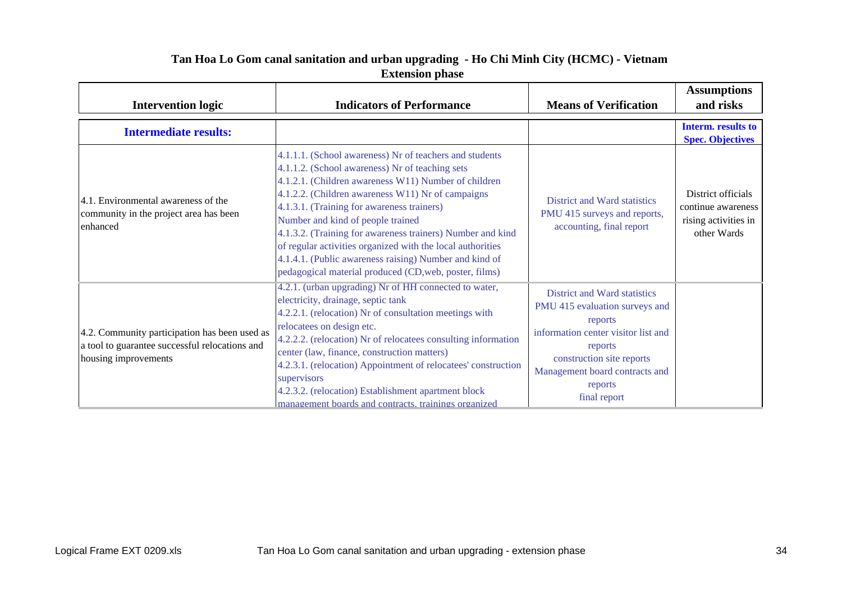| <b>Intervention logic</b>                                                                                               | <b>Indicators of Performance</b>                                                                                                                                                                                                                                                                                                                                                                                                                                                                                                                           | <b>Means of Verification</b>                                                                                                                                                                                          | <b>Assumptions</b><br>and risks                                                 |
|-------------------------------------------------------------------------------------------------------------------------|------------------------------------------------------------------------------------------------------------------------------------------------------------------------------------------------------------------------------------------------------------------------------------------------------------------------------------------------------------------------------------------------------------------------------------------------------------------------------------------------------------------------------------------------------------|-----------------------------------------------------------------------------------------------------------------------------------------------------------------------------------------------------------------------|---------------------------------------------------------------------------------|
| <b>Intermediate results:</b>                                                                                            |                                                                                                                                                                                                                                                                                                                                                                                                                                                                                                                                                            |                                                                                                                                                                                                                       | Interm. results to<br><b>Spec. Objectives</b>                                   |
| 4.1. Environmental awareness of the<br>community in the project area has been<br>enhanced                               | 4.1.1.1. (School awareness) Nr of teachers and students<br>4.1.1.2. (School awareness) Nr of teaching sets<br>4.1.2.1. (Children awareness W11) Number of children<br>4.1.2.2. (Children awareness W11) Nr of campaigns<br>4.1.3.1. (Training for awareness trainers)<br>Number and kind of people trained<br>4.1.3.2. (Training for awareness trainers) Number and kind<br>of regular activities organized with the local authorities<br>4.1.4.1. (Public awareness raising) Number and kind of<br>pedagogical material produced (CD, web, poster, films) | District and Ward statistics<br>PMU 415 surveys and reports,<br>accounting, final report                                                                                                                              | District officials<br>continue awareness<br>rising activities in<br>other Wards |
| 4.2. Community participation has been used as<br>a tool to guarantee successful relocations and<br>housing improvements | 4.2.1. (urban upgrading) Nr of HH connected to water,<br>electricity, drainage, septic tank<br>4.2.2.1. (relocation) Nr of consultation meetings with<br>relocatees on design etc.<br>4.2.2.2. (relocation) Nr of relocatees consulting information<br>center (law, finance, construction matters)<br>4.2.3.1. (relocation) Appointment of relocatees' construction<br>supervisors<br>4.2.3.2. (relocation) Establishment apartment block<br>management boards and contracts, trainings organized                                                          | District and Ward statistics<br>PMU 415 evaluation surveys and<br>reports<br>information center visitor list and<br>reports<br>construction site reports<br>Management board contracts and<br>reports<br>final report |                                                                                 |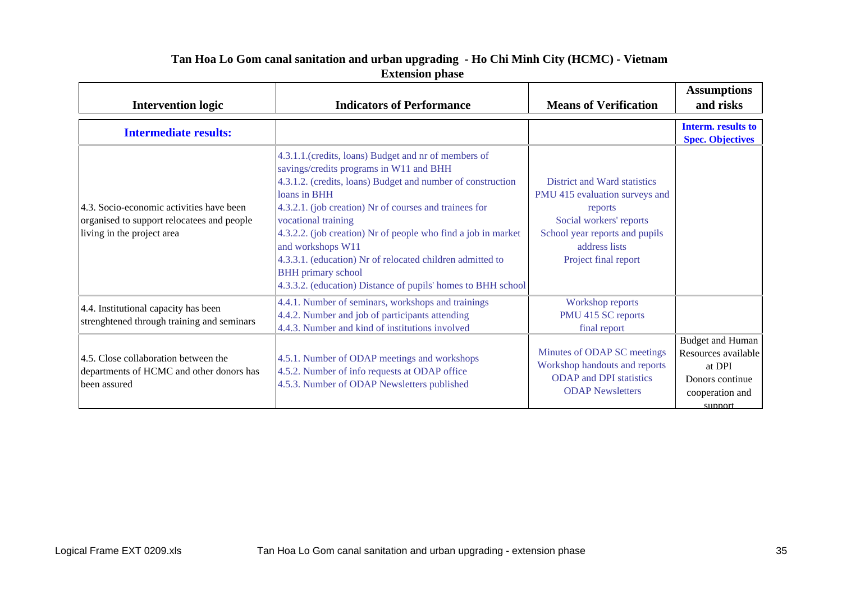| <b>Intervention logic</b>                                                                                            | <b>Indicators of Performance</b>                                                                                                                                                                                                                                                                                                                                                                                                                                                                                | <b>Means of Verification</b>                                                                                                                                                    | <b>Assumptions</b><br>and risks                                                                           |
|----------------------------------------------------------------------------------------------------------------------|-----------------------------------------------------------------------------------------------------------------------------------------------------------------------------------------------------------------------------------------------------------------------------------------------------------------------------------------------------------------------------------------------------------------------------------------------------------------------------------------------------------------|---------------------------------------------------------------------------------------------------------------------------------------------------------------------------------|-----------------------------------------------------------------------------------------------------------|
| <b>Intermediate results:</b>                                                                                         |                                                                                                                                                                                                                                                                                                                                                                                                                                                                                                                 |                                                                                                                                                                                 | <b>Interm.</b> results to<br><b>Spec. Objectives</b>                                                      |
| 4.3. Socio-economic activities have been<br>organised to support relocatees and people<br>living in the project area | 4.3.1.1.(credits, loans) Budget and nr of members of<br>savings/credits programs in W11 and BHH<br>4.3.1.2. (credits, loans) Budget and number of construction<br>loans in BHH<br>4.3.2.1. (job creation) Nr of courses and trainees for<br>vocational training<br>4.3.2.2. (job creation) Nr of people who find a job in market<br>and workshops W11<br>4.3.3.1. (education) Nr of relocated children admitted to<br><b>BHH</b> primary school<br>4.3.3.2. (education) Distance of pupils' homes to BHH school | District and Ward statistics<br>PMU 415 evaluation surveys and<br>reports<br>Social workers' reports<br>School year reports and pupils<br>address lists<br>Project final report |                                                                                                           |
| 4.4. Institutional capacity has been<br>strenghtened through training and seminars                                   | 4.4.1. Number of seminars, workshops and trainings<br>4.4.2. Number and job of participants attending<br>4.4.3. Number and kind of institutions involved                                                                                                                                                                                                                                                                                                                                                        | Workshop reports<br>PMU 415 SC reports<br>final report                                                                                                                          |                                                                                                           |
| 4.5. Close collaboration between the<br>departments of HCMC and other donors has<br>been assured                     | 4.5.1. Number of ODAP meetings and workshops<br>4.5.2. Number of info requests at ODAP office<br>4.5.3. Number of ODAP Newsletters published                                                                                                                                                                                                                                                                                                                                                                    | Minutes of ODAP SC meetings<br>Workshop handouts and reports<br><b>ODAP</b> and <b>DPI</b> statistics<br><b>ODAP</b> Newsletters                                                | <b>Budget and Human</b><br>Resources available<br>at DPI<br>Donors continue<br>cooperation and<br>support |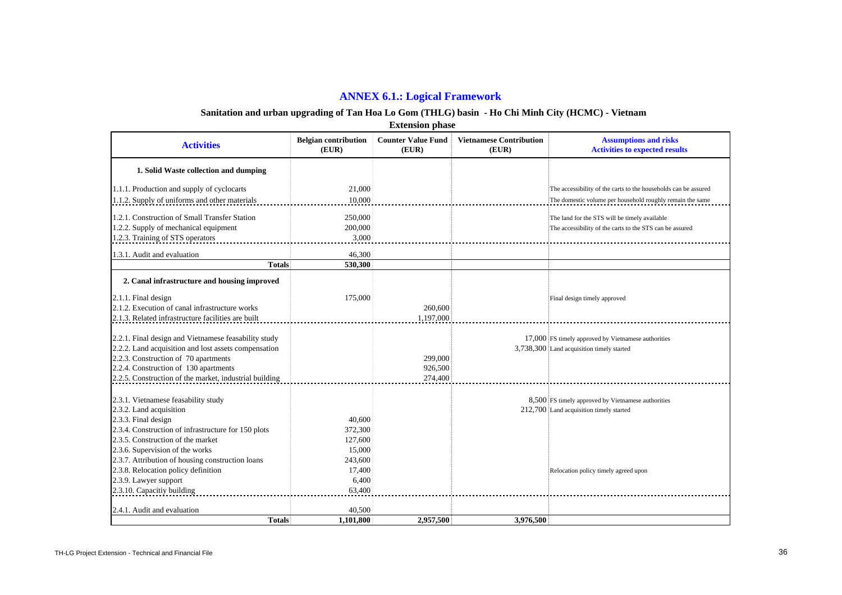#### **ANNEX 6.1.: Logical Framework**

#### **Sanitation and urban upgrading of Tan Hoa Lo Gom (THLG) basin - Ho Chi Minh City (HCMC) - Vietnam**

 **Extension phase**

| <b>Activities</b>                                                                        | <b>Belgian contribution</b><br>(EUR) | <b>Counter Value Fund</b><br>(EUR) | <b>Vietnamese Contribution</b><br>(EUR) | <b>Assumptions and risks</b><br><b>Activities to expected results</b> |
|------------------------------------------------------------------------------------------|--------------------------------------|------------------------------------|-----------------------------------------|-----------------------------------------------------------------------|
| 1. Solid Waste collection and dumping                                                    |                                      |                                    |                                         |                                                                       |
| 1.1.1. Production and supply of cyclocarts                                               | 21,000                               |                                    |                                         | The accessibility of the carts to the households can be assured       |
| 1.1.2. Supply of uniforms and other materials                                            | 10,000                               |                                    |                                         | The domestic volume per household roughly remain the same             |
|                                                                                          |                                      |                                    |                                         |                                                                       |
| 1.2.1. Construction of Small Transfer Station<br>1.2.2. Supply of mechanical equipment   | 250,000<br>200,000                   |                                    |                                         | The land for the STS will be timely available                         |
|                                                                                          | 3,000                                |                                    |                                         | The accessibility of the carts to the STS can be assured              |
| 1.2.3. Training of STS operators                                                         |                                      |                                    |                                         |                                                                       |
| 1.3.1. Audit and evaluation                                                              | 46,300                               |                                    |                                         |                                                                       |
| <b>Totals</b>                                                                            | 530,300                              |                                    |                                         |                                                                       |
| 2. Canal infrastructure and housing improved                                             |                                      |                                    |                                         |                                                                       |
| 2.1.1. Final design                                                                      | 175,000                              |                                    |                                         | Final design timely approved                                          |
| 2.1.2. Execution of canal infrastructure works                                           |                                      | 260,600                            |                                         |                                                                       |
| 2.1.3. Related infrastructure facilities are built                                       |                                      | 1,197,000                          |                                         |                                                                       |
|                                                                                          |                                      |                                    |                                         |                                                                       |
| 2.2.1. Final design and Vietnamese feasability study                                     |                                      |                                    |                                         | 17,000 FS timely approved by Vietnamese authorities                   |
| 2.2.2. Land acquisition and lost assets compensation                                     |                                      |                                    |                                         | 3,738,300 Land acquisition timely started                             |
| 2.2.3. Construction of 70 apartments                                                     |                                      | 299,000                            |                                         |                                                                       |
| 2.2.4. Construction of 130 apartments                                                    |                                      | 926,500                            |                                         |                                                                       |
| 2.2.5. Construction of the market, industrial building                                   |                                      | 274,400                            |                                         |                                                                       |
|                                                                                          |                                      |                                    |                                         |                                                                       |
| 2.3.1. Vietnamese feasability study                                                      |                                      |                                    |                                         | 8,500 FS timely approved by Vietnamese authorities                    |
| 2.3.2. Land acquisition                                                                  |                                      |                                    |                                         | 212,700 Land acquisition timely started                               |
| 2.3.3. Final design                                                                      | 40,600                               |                                    |                                         |                                                                       |
| 2.3.4. Construction of infrastructure for 150 plots<br>2.3.5. Construction of the market | 372,300                              |                                    |                                         |                                                                       |
| 2.3.6. Supervision of the works                                                          | 127,600<br>15,000                    |                                    |                                         |                                                                       |
| 2.3.7. Attribution of housing construction loans                                         | 243,600                              |                                    |                                         |                                                                       |
| 2.3.8. Relocation policy definition                                                      | 17,400                               |                                    |                                         | Relocation policy timely agreed upon                                  |
| 2.3.9. Lawyer support                                                                    | 6,400                                |                                    |                                         |                                                                       |
| 2.3.10. Capacitiy building                                                               | 63,400                               |                                    |                                         |                                                                       |
|                                                                                          |                                      |                                    |                                         |                                                                       |
| 2.4.1. Audit and evaluation                                                              | 40,500                               |                                    |                                         |                                                                       |
| <b>Totals</b>                                                                            | 1.101.800                            | 2.957,500                          | 3.976.500                               |                                                                       |